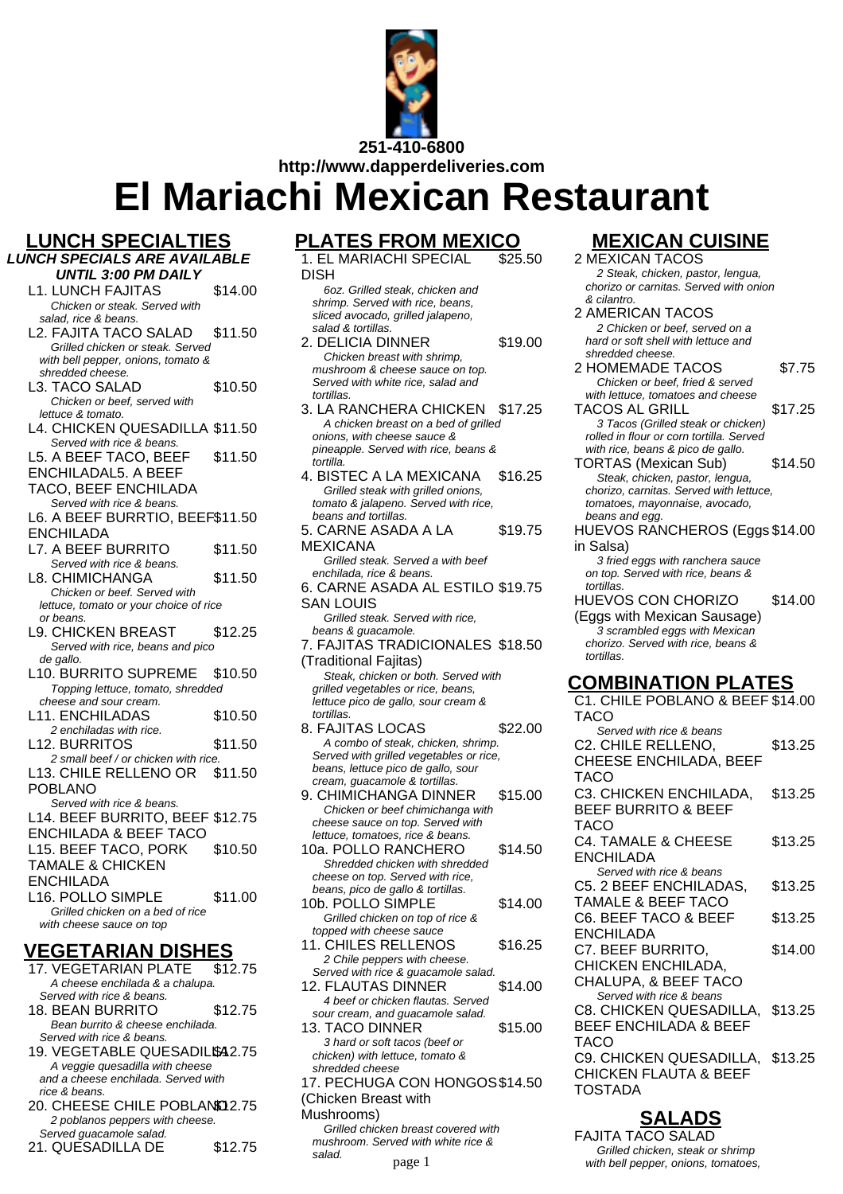

**El Mariachi Mexican Restaurant**

- **LUNCH SPECIALTIES**
- **LUNCH SPECIALS ARE AVAILABLE UNTIL 3:00 PM DAILY**
	- L1. LUNCH FAJITAS \$14.00 Chicken or steak. Served with salad, rice & beans.
	- L2. FAJITA TACO SALAD \$11.50 Grilled chicken or steak. Served with bell pepper, onions, tomato &
	- shredded cheese. L3. TACO SALAD \$10.50 Chicken or beef, served with lettuce & tomato.
	- L4. CHICKEN QUESADILLA \$11.50 Served with rice & beans.
	- L5. A BEEF TACO, BEEF \$11.50
	- ENCHILADAL5. A BEEF
	- TACO, BEEF ENCHILADA
	- Served with rice & beans. L6. A BEEF BURRTIO, BEEF \$11.50
	- ENCHILADA L7. A BEEF BURRITO \$11.50 Served with rice & beans.
	- L8. CHIMICHANGA \$11.50 Chicken or beef. Served with lettuce, tomato or your choice of rice or beans.
	- L9. CHICKEN BREAST \$12.25 Served with rice, beans and pico de gallo.
	- L10. BURRITO SUPREME \$10.50 Topping lettuce, tomato, shredded cheese and sour cream.
	- L11. ENCHILADAS \$10.50 2 enchiladas with rice. L12. BURRITOS \$11.50
	- 2 small beef / or chicken with rice. L13. CHILE RELLENO OR POBLANO \$11.50
	- Served with rice & beans. L14. BEEF BURRITO, BEEF \$12.75 ENCHILADA & BEEF TACO L15. BEEF TACO, PORK TAMALE & CHICKEN \$10.50
	- ENCHILADA
	- L16. POLLO SIMPLE \$11.00 Grilled chicken on a bed of rice with cheese sauce on top

# **VEGETARIAN DISHES**

- 17. VEGETARIAN PLATE \$12.75 A cheese enchilada & a chalupa. Served with rice & beans. 18. BEAN BURRITO \$12.75 Bean burrito & cheese enchilada. Served with rice & beans. 19. VEGETABLE QUESADILL\$42.75 A veggie quesadilla with cheese and a cheese enchilada. Served with rice & beans.
- 20. CHEESE CHILE POBLANO 2.75 2 poblanos peppers with cheese. Served guacamole salad.
- 21. QUESADILLA DE \$12.75

#### **PLATES FROM MEXICO**

1. EL MARIACHI SPECIAL DISH  $\overline{$}25.50$ 

#### 6oz. Grilled steak, chicken and shrimp. Served with rice, beans, sliced avocado, grilled jalapeno, salad & tortillas.

- 2. DELICIA DINNER \$19.00 Chicken breast with shrimp, mushroom & cheese sauce on top. Served with white rice, salad and tortillas. 3. LA RANCHERA CHICKEN \$17.25
- A chicken breast on a bed of grilled onions, with cheese sauce & pineapple. Served with rice, beans & tortilla.
- 4. BISTEC A LA MEXICANA \$16.25 Grilled steak with grilled onions. tomato & jalapeno. Served with rice, beans and tortillas.
- 5. CARNE ASADA A LA MEXICANA \$19.75 Grilled steak. Served a with beef
- enchilada, rice & beans.
- 6. CARNE ASADA AL ESTILO \$19.75 SAN LOUIS
- Grilled steak. Served with rice, beans & guacamole.
- 7. FAJITAS TRADICIONALES \$18.50 (Traditional Fajitas) Steak, chicken or both. Served with
- grilled vegetables or rice, beans, lettuce pico de gallo, sour cream & tortillas. 8. FAJITAS LOCAS \$22.00
- A combo of steak, chicken, shrimp. Served with grilled vegetables or rice, beans, lettuce pico de gallo, sour cream, guacamole & tortillas.
- 9. CHIMICHANGA DINNER \$15.00 Chicken or beef chimichanga with cheese sauce on top. Served with lettuce, tomatoes, rice & beans.
- 10a. POLLO RANCHERO \$14.50 Shredded chicken with shredded cheese on top. Served with rice, beans, pico de gallo & tortillas.
- 10b. POLLO SIMPLE \$14.00 Grilled chicken on top of rice & topped with cheese sauce
- 11. CHILES RELLENOS \$16.25 2 Chile peppers with cheese. Served with rice & guacamole salad.
- 12. FLAUTAS DINNER \$14.00 4 beef or chicken flautas. Served sour cream, and guacamole salad.
- 13. TACO DINNER \$15.00 3 hard or soft tacos (beef or chicken) with lettuce, tomato & shredded cheese
- 17. PECHUGA CON HONGOS \$14.50 (Chicken Breast with
- Mushrooms)
	- Grilled chicken breast covered with mushroom. Served with white rice & salad.

# **MEXICAN CUISINE**

- 2 MEXICAN TACOS 2 Steak, chicken, pastor, lengua, chorizo or carnitas. Served with onion & cilantro.
- 2 AMERICAN TACOS 2 Chicken or beef, served on a hard or soft shell with lettuce and shredded cheese.
- 2 HOMEMADE TACOS \$7.75 Chicken or beef, fried & served with lettuce, tomatoes and cheese TACOS AL GRILL \$17.25
- 3 Tacos (Grilled steak or chicken) rolled in flour or corn tortilla. Served with rice, beans & pico de gallo.
- TORTAS (Mexican Sub) \$14.50 Steak, chicken, pastor, lengua, chorizo, carnitas. Served with lettuce, tomatoes, mayonnaise, avocado, beans and egg.
- HUEVOS RANCHEROS (Eggs \$14.00 in Salsa)
	- 3 fried eggs with ranchera sauce on top. Served with rice, beans & tortillas.

tortillas.

HUEVOS CON CHORIZO (Eggs with Mexican Sausage) \$14.00 3 scrambled eggs with Mexican chorizo. Served with rice, beans &

## **COMBINATION PLATES**

C1. CHILE POBLANO & BEEF \$14.00 TACO Served with rice & beans C2. CHILE RELLENO, CHEESE ENCHILADA, BEEF TACO \$13.25 C3. CHICKEN ENCHILADA, BEEF BURRITO & BEEF TACO \$13.25 C4. TAMALE & CHEESE ENCHILADA \$13.25 Served with rice & beans C5. 2 BEEF ENCHILADAS, TAMALE & BEEF TACO \$13.25 C6. BEEF TACO & BEEF ENCHILADA \$13.25 C7. BEEF BURRITO, CHICKEN ENCHILADA, CHALUPA, & BEEF TACO \$14.00 Served with rice & beans C8. CHICKEN QUESADILLA, BEEF ENCHILADA & BEEF TACO \$13.25 C9. CHICKEN QUESADILLA, \$13.25 CHICKEN FLAUTA & BEEF TOSTADA

# **SALADS**

FAJITA TACO SALAD Grilled chicken, steak or shrimp page 1 with bell pepper, onions, tomatoes,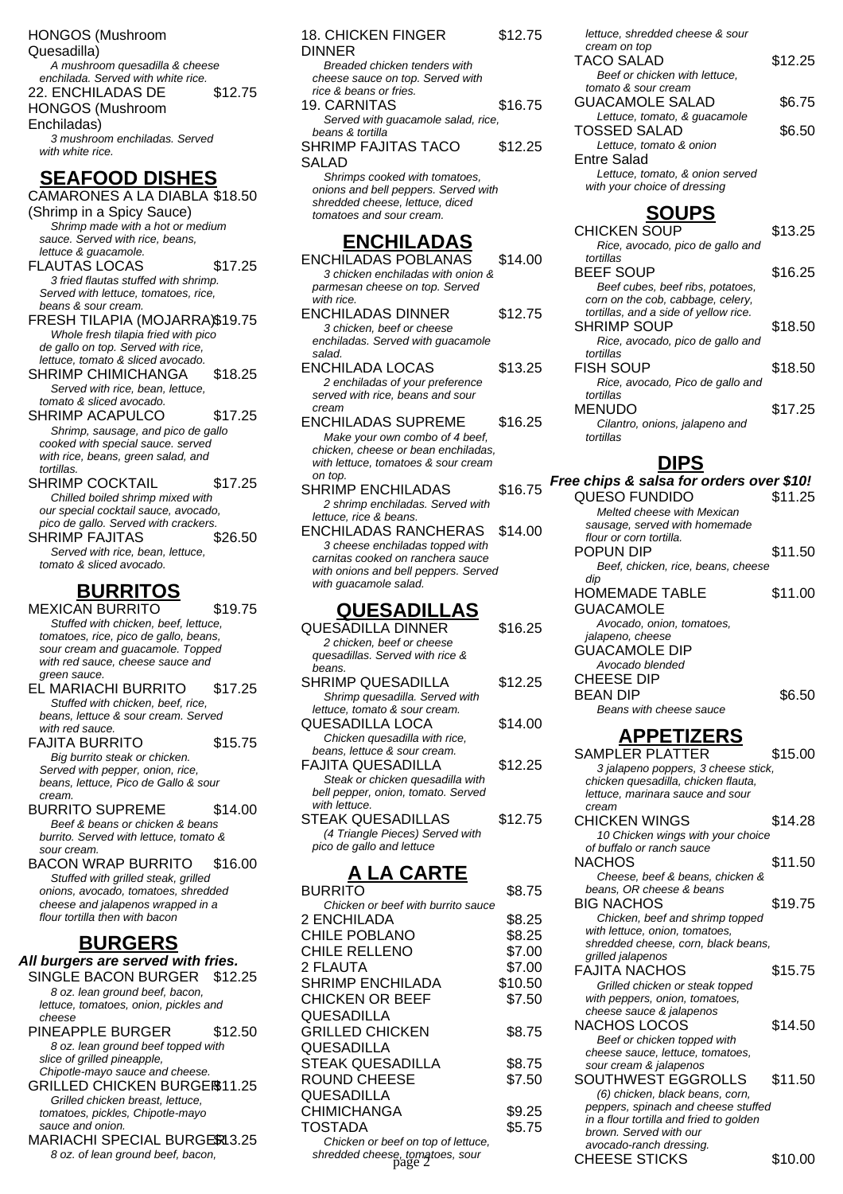HONGOS (Mushroom Quesadilla) A mushroom quesadilla & cheese enchilada. Served with white rice. 22. ENCHILADAS DE HONGOS (Mushroom Enchiladas) \$12.75 3 mushroom enchiladas. Served with white rice.

## **SEAFOOD DISHES**

CAMARONES A LA DIABLA \$18.50 (Shrimp in a Spicy Sauce) Shrimp made with a hot or medium sauce. Served with rice, beans, lettuce & guacamole. FLAUTAS LOCAS \$17.25 3 fried flautas stuffed with shrimp. Served with lettuce, tomatoes, rice, beans & sour cream. FRESH TILAPIA (MOJARRA)\$19.75 Whole fresh tilapia fried with pico de gallo on top. Served with rice, lettuce, tomato & sliced avocado. SHRIMP CHIMICHANGA \$18.25 Served with rice, bean, lettuce, tomato & sliced avocado. SHRIMP ACAPULCO \$17.25 Shrimp, sausage, and pico de gallo cooked with special sauce. served with rice, beans, green salad, and tortillas. SHRIMP COCKTAIL \$17.25 Chilled boiled shrimp mixed with

our special cocktail sauce, avocado, pico de gallo. Served with crackers. SHRIMP FAJITAS \$26.50 Served with rice, bean, lettuce, tomato & sliced avocado.

## **BURRITOS**

MEXICAN BURRITO \$19.75 Stuffed with chicken, beef, lettuce, tomatoes, rice, pico de gallo, beans, sour cream and guacamole. Topped with red sauce, cheese sauce and green sauce. EL MARIACHI BURRITO \$17.25

Stuffed with chicken, beef, rice, beans, lettuce & sour cream. Served with red sauce. FAJITA BURRITO \$15.75

Big burrito steak or chicken. Served with pepper, onion, rice, beans, lettuce, Pico de Gallo & sour cream.

BURRITO SUPREME \$14.00 Beef & beans or chicken & beans burrito. Served with lettuce, tomato & sour cream. BACON WRAP BURRITO \$16.00

Stuffed with grilled steak, grilled onions, avocado, tomatoes, shredded cheese and jalapenos wrapped in a flour tortilla then with bacon

## **BURGERS**

**All burgers are served with fries.** SINGLE BACON BURGER \$12.25 8 oz. lean ground beef, bacon, lettuce, tomatoes, onion, pickles and cheese

PINEAPPLE BURGER \$12.50 8 oz. lean ground beef topped with slice of grilled pineapple, Chipotle-mayo sauce and cheese. GRILLED CHICKEN BURGER\$11.25 Grilled chicken breast, lettuce, tomatoes, pickles, Chipotle-mayo sauce and onion.

MARIACHI SPECIAL BURGER13.25 8 oz. of lean ground beef, bacon,

| <b>18. CHICKEN FINGER</b>            | \$12.75 |
|--------------------------------------|---------|
| DINNER                               |         |
| Breaded chicken tenders with         |         |
| cheese sauce on top. Served with     |         |
| rice & beans or fries.               |         |
| 19. CARNITAS                         | \$16.75 |
| Served with guacamole salad, rice,   |         |
| beans & tortilla                     |         |
| SHRIMP FAJITAS TACO                  | \$12.25 |
| SALAD                                |         |
| Shrimps cooked with tomatoes,        |         |
| onions and bell peppers. Served with |         |
| shredded cheese, lettuce, diced      |         |
| tomatoes and sour cream.             |         |
|                                      |         |
| <b>ENCHILADAS</b>                    |         |
| ENCHILADAS POBLANAS                  | \$14.00 |
| 3 chicken enchiladas with onion &    |         |
| parmesan cheese on top. Served       |         |
| with rice.                           |         |
| ENCHILADAS DINNER                    | \$12.75 |
| 3 chicken, beef or cheese            |         |
| enchiladas. Served with quacamole    |         |
|                                      |         |

salad. ENCHILADA LOCAS \$13.25 2 enchiladas of your preference served with rice, beans and sour cream

- ENCHILADAS SUPREME \$16.25 Make your own combo of 4 beef, chicken, cheese or bean enchiladas, with lettuce, tomatoes & sour cream on top.
- SHRIMP ENCHILADAS \$16.75 2 shrimp enchiladas. Served with lettuce, rice & beans.
- ENCHILADAS RANCHERAS \$14.00 3 cheese enchiladas topped with carnitas cooked on ranchera sauce with onions and bell peppers. Served with guacamole salad.

#### **QUESADILLAS**

| <b>QUESADILLA DINNER</b>           | \$16.25 |
|------------------------------------|---------|
| 2 chicken, beef or cheese          |         |
| quesadillas. Served with rice &    |         |
| beans.                             |         |
| <b>SHRIMP QUESADILLA</b>           | \$12.25 |
| Shrimp quesadilla. Served with     |         |
| lettuce, tomato & sour cream.      |         |
| QUESADILLA LOCA                    | \$14.00 |
| Chicken quesadilla with rice,      |         |
| beans, lettuce & sour cream.       |         |
| FAJITA QUESADILLA                  | \$12.25 |
| Steak or chicken quesadilla with   |         |
| bell pepper, onion, tomato. Served |         |
| with lettuce.                      |         |
| <b>STEAK QUESADILLAS</b>           | \$12.75 |
| (4 Triangle Pieces) Served with    |         |
| pico de gallo and lettuce          |         |

# **A LA CARTE**

| BURRITO                                   | \$8.75  |
|-------------------------------------------|---------|
| Chicken or beef with burrito sauce        |         |
| 2 ENCHILADA                               | \$8.25  |
| <b>CHILE POBLANO</b>                      | \$8.25  |
| CHILE RELLENO                             | \$7.00  |
| 2 FLAUTA                                  | \$7.00  |
| SHRIMP ENCHILADA                          | \$10.50 |
| CHICKEN OR BEEF                           | \$7.50  |
| QUESADILLA                                |         |
| GRILLED CHICKEN                           | \$8.75  |
| QUESADILLA                                |         |
| STEAK QUESADILLA                          | \$8.75  |
| ROUND CHEESE                              | \$7.50  |
| QUESADILLA                                |         |
| CHIMICHANGA                               | \$9.25  |
| <b>TOSTADA</b>                            | \$5.75  |
| Chicken or beef on top of lettuce,        |         |
| shredded cheese, tomatoes, sour<br>page 2 |         |

| lettuce, shredded cheese & sour |         |
|---------------------------------|---------|
| cream on top                    |         |
| <b>TACO SALAD</b>               | \$12.25 |
| Beef or chicken with lettuce,   |         |
| tomato & sour cream             |         |
| <b>GUACAMOLE SALAD</b>          | \$6.75  |
| Lettuce, tomato, & quacamole    |         |
| <b>TOSSED SALAD</b>             | \$6.50  |
| Lettuce, tomato & onion         |         |
| Entre Salad                     |         |
| Lettuce, tomato, & onion served |         |

with your choice of dressing **SOUPS**

| <b>CHICKEN SOUP</b>                   | \$13.25 |
|---------------------------------------|---------|
| Rice, avocado, pico de gallo and      |         |
| tortillas                             |         |
| <b>BEEF SOUP</b>                      | \$16.25 |
| Beef cubes, beef ribs, potatoes,      |         |
| corn on the cob, cabbage, celery,     |         |
| tortillas, and a side of yellow rice. |         |
| <b>SHRIMP SOUP</b>                    | \$18.50 |
| Rice, avocado, pico de gallo and      |         |
| tortillas                             |         |
| FISH SOUP                             | \$18.50 |
| Rice, avocado, Pico de gallo and      |         |
| tortillas                             |         |
| MENUDO                                | \$17.25 |
| Cilantro, onions, jalapeno and        |         |
| tortillas                             |         |

#### **DIPS**

**Free chips & salsa for orders over \$10!** QUESO FUNDIDO \$11.25 Melted cheese with Mexican sausage, served with homemade flour or corn tortilla. POPUN DIP \$11.50 Beef, chicken, rice, beans, cheese dip HOMEMADE TABLE **GUACAMOLE** \$11.00 Avocado, onion, tomatoes, jalapeno, cheese GUACAMOLE DIP Avocado blended CHEESE DIP BEAN DIP \$6.50 Beans with cheese sauce **APPETIZERS** SAMPLER PLATTER \$15.00 3 jalapeno poppers, 3 cheese stick, chicken quesadilla, chicken flauta, lettuce, marinara sauce and sour cream CHICKEN WINGS \$14.28 10 Chicken wings with your choice of buffalo or ranch sauce NACHOS \$11.50 Cheese, beef & beans, chicken & beans, OR cheese & beans BIG NACHOS \$19.75 Chicken, beef and shrimp topped with lettuce, onion, tomatoes, shredded cheese, corn, black beans, grilled jalapenos FAJITA NACHOS \$15.75 Grilled chicken or steak topped with peppers, onion, tomatoes, cheese sauce & jalapenos NACHOS LOCOS \$14.50 Beef or chicken topped with cheese sauce, lettuce, tomatoes, sour cream & jalapenos SOUTHWEST EGGROLLS \$11.50 (6) chicken, black beans, corn, peppers, spinach and cheese stuffed in a flour tortilla and fried to golden brown. Served with our avocado-ranch dressing. CHEESE STICKS \$10.00